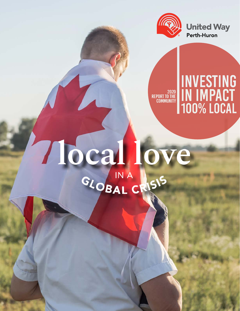

# Mocal love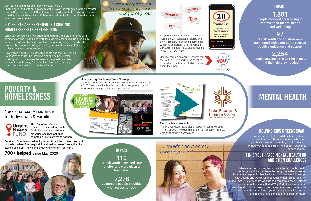



Jordan needed help. So did Richard. Different challenges, different solutions. What both youth have in common is they reached out to a United Way funded partner for support when they needed it most.

Many youth across Perth-Huron are facing mental health challenges and the pandemic has only made things worse. So whether help looks like Jordan seeking counselling to cope with trauma she was reliving because of her forced isolation during COVID-19, or Richard working to overcome low self-esteem and control his anger, United Way Perth-Huron was there, working with our partners  $-$  one person at a time  $-$  to improve the mental health of local youth; ensuring kids like Jordan and Richard have a chance for a brighter future.

# helping kids & TEENS soar

# Mental Health

# 1 in 3 youth face mental health or addiction challenges

Supported locally by United Way Perth-Huron, the 211 telephone helpline and online directory helps local people deal with life's challenges. 211 is available 24/7/365, is anonymous and accessible in over 150 languages.

ConnectYouth is an online resource for the youth of Perth and Huron counties to help them make educated decisions about their lives.



**Free.Confidential** 

**Call 211** 

# POVERTY & **HOMELESSNESS**

# 1,801

people received counselling to improve their mental health and well-being

# 97

at-risk youth and children were connected with a mentor to receive positive guidance and support

# 2,254

people accessed the 211 helpline to find the help they needed

health. It got so bad Dan felt as though he didn't want to live anymore. Before he did anything to harm himself, Dan reached out for help and found his way to Huron Turning Point.

> Social Research & **Planning Council** Operated by United Way Perth-Huron

Once Dan arrived, his life started getting better. The staff listened with compassion and helped him work through his challenges. Dan felt lucky to have a roof over his head and three meals every day. Even when he was on his own and working, affording rent and food was difficult, so his stress was greatly reduced.

Now, Dan is hopeful. The other residents and staff at Turning Point have become like family to him and he has started working odd jobs because he loves to help. With another grandchild on the way, Dan is looking forward to putting down roots and building a brighter future.

## Dan lost his job because of poor physical health. **Example 19 and the United States of people** and without a place to call his own, he struggled with his mental there were lots of people and with a struggled with his menta "It was a scary time, but there were lots of people willing to help me."





## 201 people are experiencing chronic Homelessness IN PERTH-HURON

The Urgent Needs Fund supports local residents with funds for essentials like rent, groceries and medication if something like this were to happen;

Derek and Sherrie worked multiple part-time jobs to cover rent and groceries. When Sherrie got sick and had to take off work, the bills started piling up. They didn't know where to turn for help...

# **700+ helped** since May, 2020

110 at-risk youth accessed safe shelter and were given a fresh start

7,278 vulnerable people provided with access to food



## New Financial Assistance for Individuals & Families



## Read the latest research:

The Mental Health & Addiction report is being released in April of 2021. To read this and other research reports, visit perthhuron.unitedway.ca

## **Advocating For Long-Term Change**

To learn more about the Basic Income Forum held in November of 2020, and view the list of current Living Wage employers in Perth-Huron, visit perthhuron.unitedway.ca